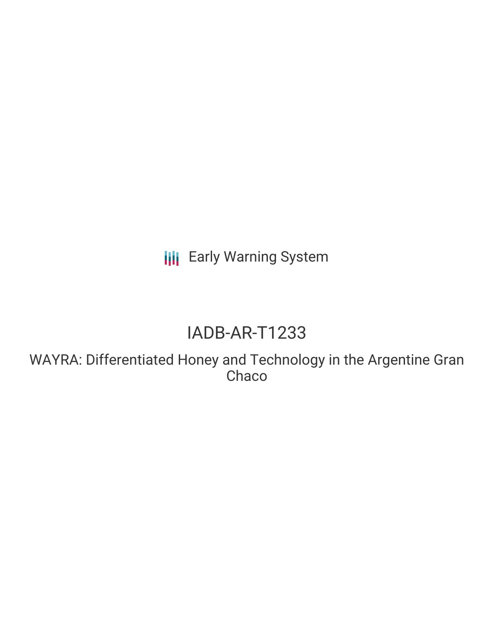**III** Early Warning System

## IADB-AR-T1233

WAYRA: Differentiated Honey and Technology in the Argentine Gran **Chaco**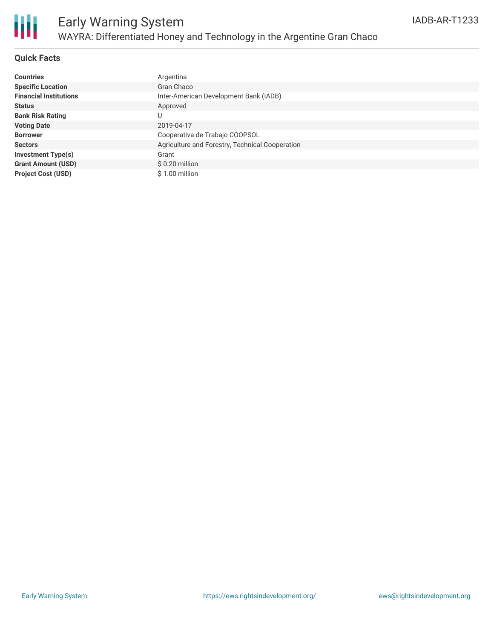

#### **Quick Facts**

| <b>Countries</b>              | Argentina                                       |
|-------------------------------|-------------------------------------------------|
| <b>Specific Location</b>      | Gran Chaco                                      |
| <b>Financial Institutions</b> | Inter-American Development Bank (IADB)          |
| <b>Status</b>                 | Approved                                        |
| <b>Bank Risk Rating</b>       | U                                               |
| <b>Voting Date</b>            | 2019-04-17                                      |
| <b>Borrower</b>               | Cooperativa de Trabajo COOPSOL                  |
| <b>Sectors</b>                | Agriculture and Forestry, Technical Cooperation |
| <b>Investment Type(s)</b>     | Grant                                           |
| <b>Grant Amount (USD)</b>     | $$0.20$ million                                 |
| <b>Project Cost (USD)</b>     | \$1.00 million                                  |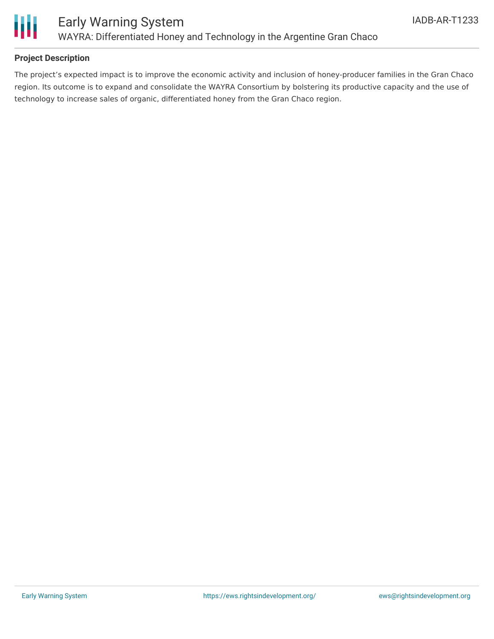

#### **Project Description**

The project's expected impact is to improve the economic activity and inclusion of honey-producer families in the Gran Chaco region. Its outcome is to expand and consolidate the WAYRA Consortium by bolstering its productive capacity and the use of technology to increase sales of organic, differentiated honey from the Gran Chaco region.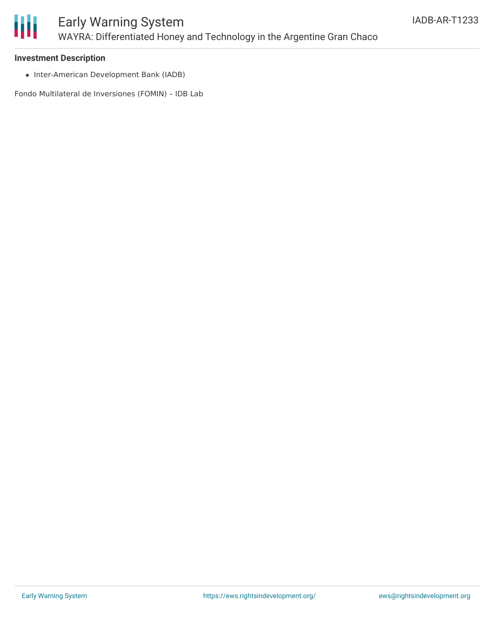

#### **Investment Description**

• Inter-American Development Bank (IADB)

Fondo Multilateral de Inversiones (FOMIN) – IDB Lab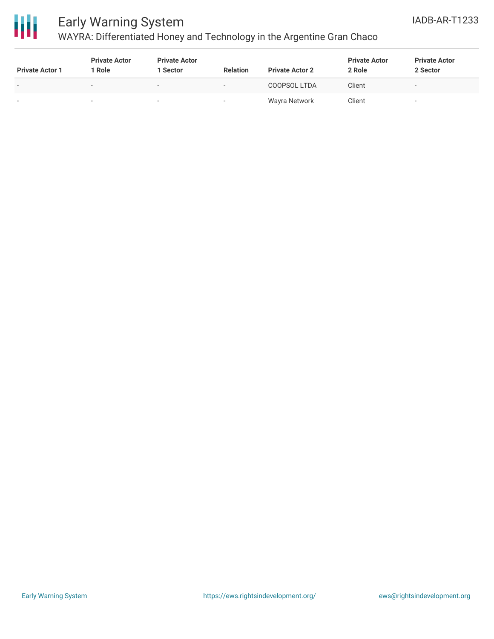



## Early Warning System

## WAYRA: Differentiated Honey and Technology in the Argentine Gran Chaco

| <b>Private Actor 1</b>   | <b>Private Actor</b><br>' Role | <b>Private Actor</b><br>1 Sector | <b>Relation</b>          | <b>Private Actor 2</b> | <b>Private Actor</b><br>2 Role | <b>Private Actor</b><br>2 Sector |
|--------------------------|--------------------------------|----------------------------------|--------------------------|------------------------|--------------------------------|----------------------------------|
| $\overline{\phantom{0}}$ | $\,$                           |                                  | $\overline{\phantom{a}}$ | COOPSOL LTDA           | Client                         |                                  |
|                          | $\sim$                         | . .                              | . .                      | Wayra Network          | Client                         | $\sim$                           |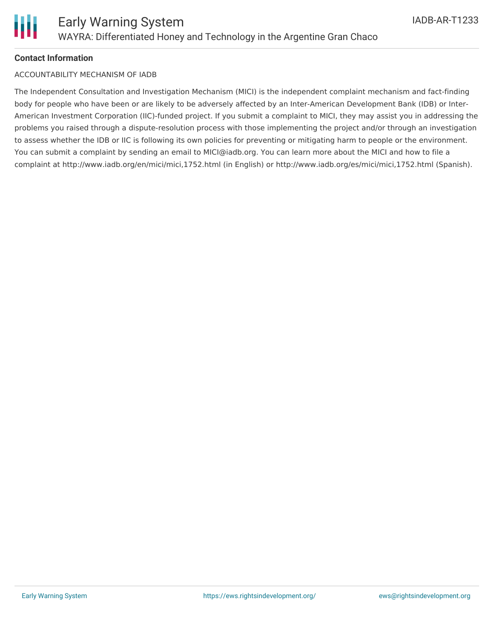#### **Contact Information**

#### ACCOUNTABILITY MECHANISM OF IADB

The Independent Consultation and Investigation Mechanism (MICI) is the independent complaint mechanism and fact-finding body for people who have been or are likely to be adversely affected by an Inter-American Development Bank (IDB) or Inter-American Investment Corporation (IIC)-funded project. If you submit a complaint to MICI, they may assist you in addressing the problems you raised through a dispute-resolution process with those implementing the project and/or through an investigation to assess whether the IDB or IIC is following its own policies for preventing or mitigating harm to people or the environment. You can submit a complaint by sending an email to MICI@iadb.org. You can learn more about the MICI and how to file a complaint at http://www.iadb.org/en/mici/mici,1752.html (in English) or http://www.iadb.org/es/mici/mici,1752.html (Spanish).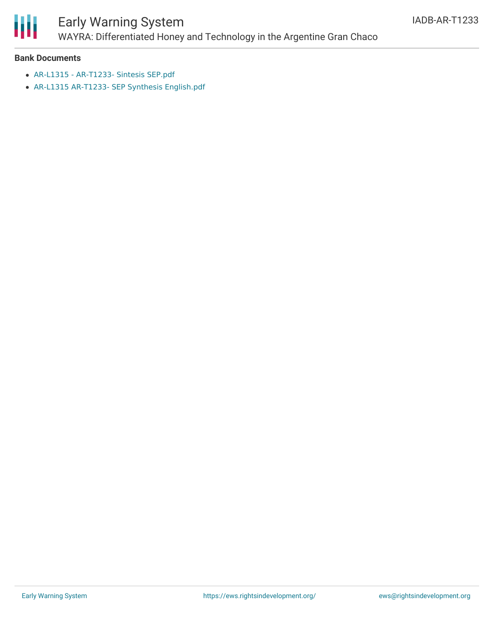

# Early Warning System

WAYRA: Differentiated Honey and Technology in the Argentine Gran Chaco

#### **Bank Documents**

- AR-L1315 [AR-T1233-](https://www.iadb.org/Document.cfm?id=EZSHARE-761971395-2) Sintesis SEP.pdf
- AR-L1315 AR-T1233- SEP Synthesis [English.pdf](https://www.iadb.org/Document.cfm?id=EZSHARE-761971395-3)